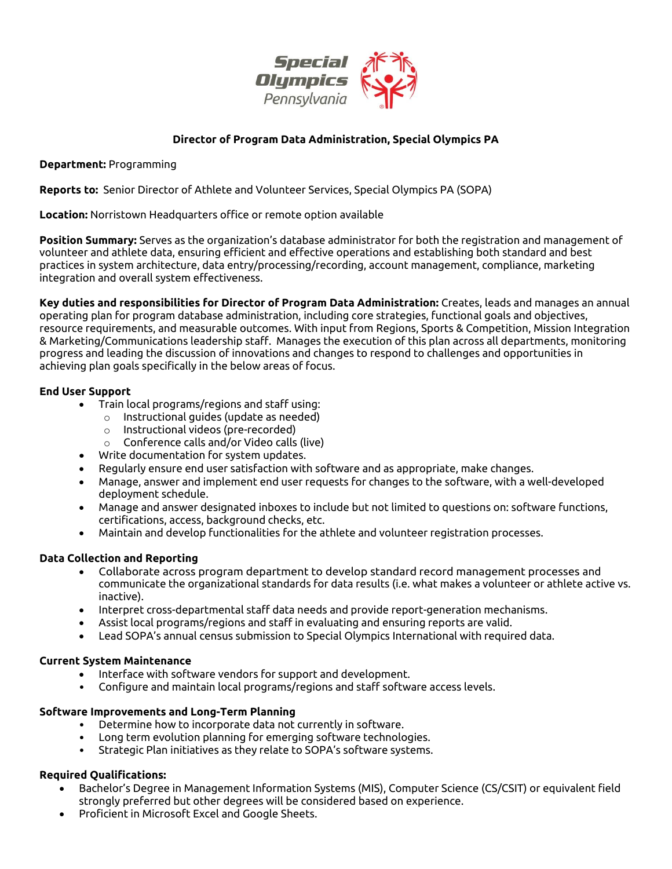

# **Director of Program Data Administration, Special Olympics PA**

**Department:** Programming

**Reports to:** Senior Director of Athlete and Volunteer Services, Special Olympics PA (SOPA)

**Location:** Norristown Headquarters office or remote option available

**Position Summary:** Serves as the organization's database administrator for both the registration and management of volunteer and athlete data, ensuring efficient and effective operations and establishing both standard and best practices in system architecture, data entry/processing/recording, account management, compliance, marketing integration and overall system effectiveness.

**Key duties and responsibilities for Director of Program Data Administration:** Creates, leads and manages an annual operating plan for program database administration, including core strategies, functional goals and objectives, resource requirements, and measurable outcomes. With input from Regions, Sports & Competition, Mission Integration & Marketing/Communications leadership staff. Manages the execution of this plan across all departments, monitoring progress and leading the discussion of innovations and changes to respond to challenges and opportunities in achieving plan goals specifically in the below areas of focus.

### **End User Support**

- Train local programs/regions and staff using:
	- o Instructional guides (update as needed)
	- o Instructional videos (pre-recorded)
	- o Conference calls and/or Video calls (live)
- Write documentation for system updates.
- Regularly ensure end user satisfaction with software and as appropriate, make changes.
- Manage, answer and implement end user requests for changes to the software, with a well-developed deployment schedule.
- Manage and answer designated inboxes to include but not limited to questions on: software functions, certifications, access, background checks, etc.
- Maintain and develop functionalities for the athlete and volunteer registration processes.

### **Data Collection and Reporting**

- Collaborate across program department to develop standard record management processes and communicate the organizational standards for data results (i.e. what makes a volunteer or athlete active vs. inactive).
- Interpret cross-departmental staff data needs and provide report-generation mechanisms.
- Assist local programs/regions and staff in evaluating and ensuring reports are valid.
- Lead SOPA's annual census submission to Special Olympics International with required data.

### **Current System Maintenance**

- Interface with software vendors for support and development.
- Configure and maintain local programs/regions and staff software access levels.

### **Software Improvements and Long-Term Planning**

- Determine how to incorporate data not currently in software.
- Long term evolution planning for emerging software technologies.
- Strategic Plan initiatives as they relate to SOPA's software systems.

### **Required Qualifications:**

- Bachelor's Degree in Management Information Systems (MIS), Computer Science (CS/CSIT) or equivalent field strongly preferred but other degrees will be considered based on experience.
- Proficient in Microsoft Excel and Google Sheets.